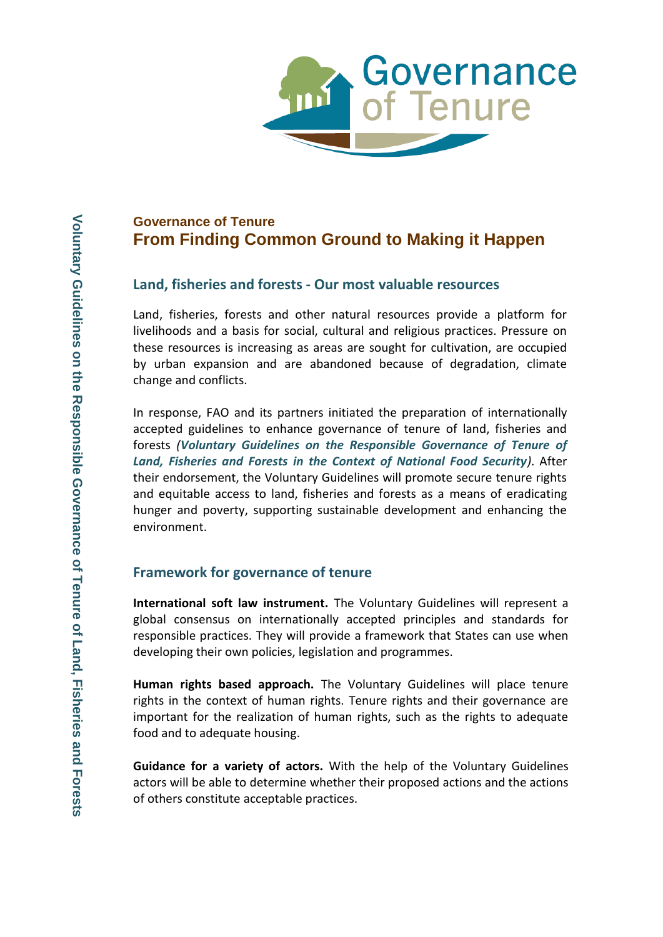

# **Governance of Tenure From Finding Common Ground to Making it Happen**

## **Land, fisheries and forests - Our most valuable resources**

Land, fisheries, forests and other natural resources provide a platform for livelihoods and a basis for social, cultural and religious practices. Pressure on these resources is increasing as areas are sought for cultivation, are occupied by urban expansion and are abandoned because of degradation, climate change and conflicts.

In response, FAO and its partners initiated the preparation of internationally accepted guidelines to enhance governance of tenure of land, fisheries and forests *(Voluntary Guidelines on the Responsible Governance of Tenure of Land, Fisheries and Forests in the Context of National Food Security)*. After their endorsement, the Voluntary Guidelines will promote secure tenure rights and equitable access to land, fisheries and forests as a means of eradicating hunger and poverty, supporting sustainable development and enhancing the environment.

## **Framework for governance of tenure**

**International soft law instrument.** The Voluntary Guidelines will represent a global consensus on internationally accepted principles and standards for responsible practices. They will provide a framework that States can use when developing their own policies, legislation and programmes.

**Human rights based approach.** The Voluntary Guidelines will place tenure rights in the context of human rights. Tenure rights and their governance are important for the realization of human rights, such as the rights to adequate food and to adequate housing.

**Guidance for a variety of actors.** With the help of the Voluntary Guidelines actors will be able to determine whether their proposed actions and the actions of others constitute acceptable practices.